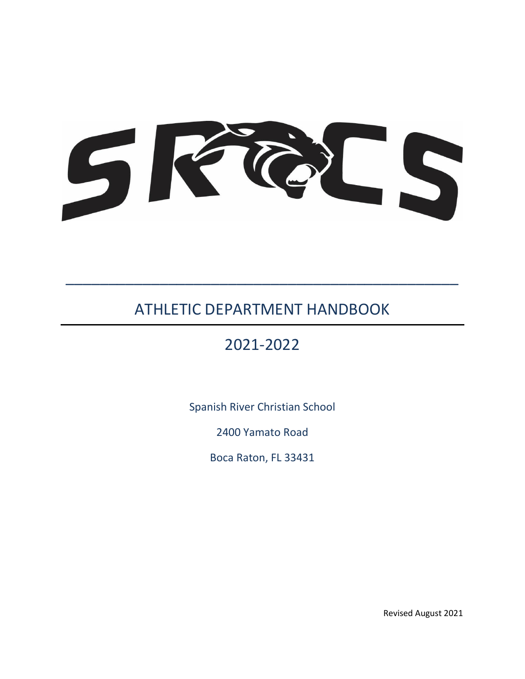

# ATHLETIC DEPARTMENT HANDBOOK

\_\_\_\_\_\_\_\_\_\_\_\_\_\_\_\_\_\_\_\_\_\_\_\_\_\_\_\_\_\_\_\_\_\_\_\_\_\_\_\_\_\_\_\_\_\_

# 2021-2022

Spanish River Christian School

2400 Yamato Road

Boca Raton, FL 33431

Revised August 2021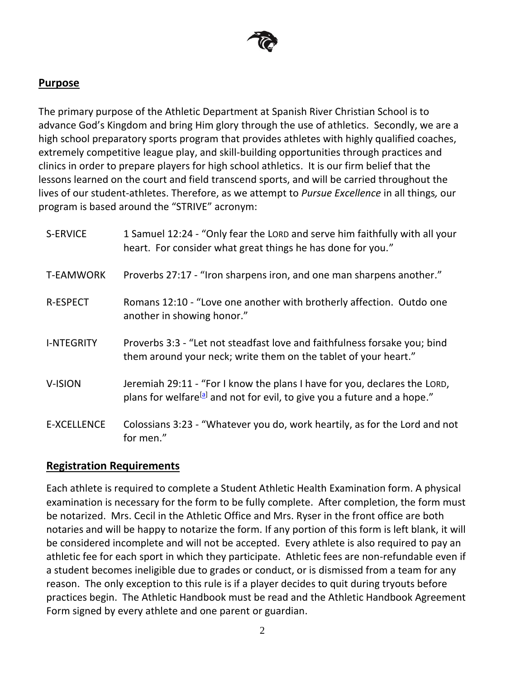

#### **Purpose**

The primary purpose of the Athletic Department at Spanish River Christian School is to advance God's Kingdom and bring Him glory through the use of athletics. Secondly, we are a high school preparatory sports program that provides athletes with highly qualified coaches, extremely competitive league play, and skill-building opportunities through practices and clinics in order to prepare players for high school athletics. It is our firm belief that the lessons learned on the court and field transcend sports, and will be carried throughout the lives of our student-athletes. Therefore, as we attempt to *Pursue Excellence* in all things*,* our program is based around the "STRIVE" acronym:

| S-ERVICE           | 1 Samuel 12:24 - "Only fear the LORD and serve him faithfully with all your<br>heart. For consider what great things he has done for you."                        |
|--------------------|-------------------------------------------------------------------------------------------------------------------------------------------------------------------|
| <b>T-EAMWORK</b>   | Proverbs 27:17 - "Iron sharpens iron, and one man sharpens another."                                                                                              |
| <b>R-ESPECT</b>    | Romans 12:10 - "Love one another with brotherly affection. Outdo one<br>another in showing honor."                                                                |
| <b>I-NTEGRITY</b>  | Proverbs 3:3 - "Let not steadfast love and faithfulness forsake you; bind<br>them around your neck; write them on the tablet of your heart."                      |
| V-ISION            | Jeremiah 29:11 - "For I know the plans I have for you, declares the LORD,<br>plans for welfare <sup>[a]</sup> and not for evil, to give you a future and a hope." |
| <b>E-XCELLENCE</b> | Colossians 3:23 - "Whatever you do, work heartily, as for the Lord and not<br>for men."                                                                           |

### **Registration Requirements**

Each athlete is required to complete a Student Athletic Health Examination form. A physical examination is necessary for the form to be fully complete. After completion, the form must be notarized. Mrs. Cecil in the Athletic Office and Mrs. Ryser in the front office are both notaries and will be happy to notarize the form. If any portion of this form is left blank, it will be considered incomplete and will not be accepted. Every athlete is also required to pay an athletic fee for each sport in which they participate. Athletic fees are non-refundable even if a student becomes ineligible due to grades or conduct, or is dismissed from a team for any reason. The only exception to this rule is if a player decides to quit during tryouts before practices begin. The Athletic Handbook must be read and the Athletic Handbook Agreement Form signed by every athlete and one parent or guardian.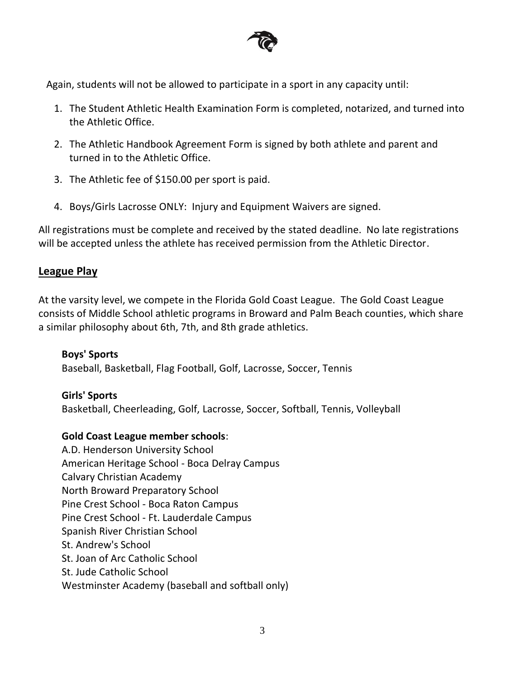

Again, students will not be allowed to participate in a sport in any capacity until:

- 1. The Student Athletic Health Examination Form is completed, notarized, and turned into the Athletic Office.
- 2. The Athletic Handbook Agreement Form is signed by both athlete and parent and turned in to the Athletic Office.
- 3. The Athletic fee of \$150.00 per sport is paid.
- 4. Boys/Girls Lacrosse ONLY: Injury and Equipment Waivers are signed.

All registrations must be complete and received by the stated deadline. No late registrations will be accepted unless the athlete has received permission from the Athletic Director.

# **League Play**

At the varsity level, we compete in the Florida Gold Coast League. The Gold Coast League consists of Middle School athletic programs in Broward and Palm Beach counties, which share a similar philosophy about 6th, 7th, and 8th grade athletics.

### **Boys' Sports**

Baseball, Basketball, Flag Football, Golf, Lacrosse, Soccer, Tennis

### **Girls' Sports**

Basketball, Cheerleading, Golf, Lacrosse, Soccer, Softball, Tennis, Volleyball

### **Gold Coast League member schools**:

A.D. Henderson University School American Heritage School - Boca Delray Campus Calvary Christian Academy North Broward Preparatory School Pine Crest School - Boca Raton Campus Pine Crest School - Ft. Lauderdale Campus Spanish River Christian School St. Andrew's School St. Joan of Arc Catholic School St. Jude Catholic School Westminster Academy (baseball and softball only)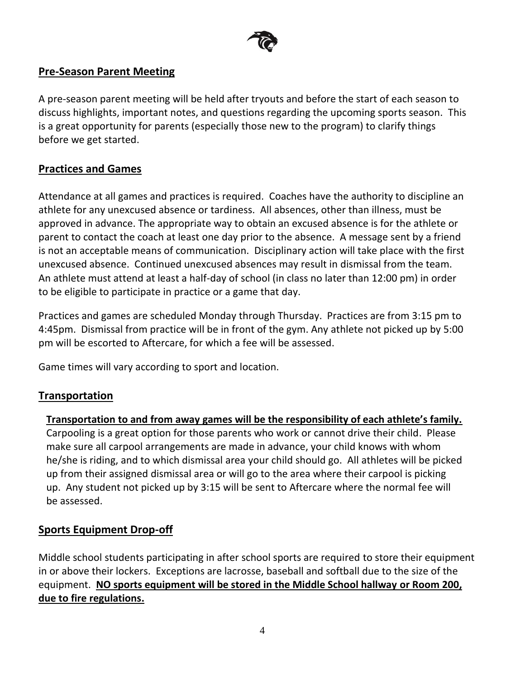

# **Pre-Season Parent Meeting**

A pre-season parent meeting will be held after tryouts and before the start of each season to discuss highlights, important notes, and questions regarding the upcoming sports season. This is a great opportunity for parents (especially those new to the program) to clarify things before we get started.

# **Practices and Games**

Attendance at all games and practices is required. Coaches have the authority to discipline an athlete for any unexcused absence or tardiness. All absences, other than illness, must be approved in advance. The appropriate way to obtain an excused absence is for the athlete or parent to contact the coach at least one day prior to the absence. A message sent by a friend is not an acceptable means of communication. Disciplinary action will take place with the first unexcused absence. Continued unexcused absences may result in dismissal from the team. An athlete must attend at least a half-day of school (in class no later than 12:00 pm) in order to be eligible to participate in practice or a game that day.

Practices and games are scheduled Monday through Thursday. Practices are from 3:15 pm to 4:45pm. Dismissal from practice will be in front of the gym. Any athlete not picked up by 5:00 pm will be escorted to Aftercare, for which a fee will be assessed.

Game times will vary according to sport and location.

# **Transportation**

**Transportation to and from away games will be the responsibility of each athlete's family.** Carpooling is a great option for those parents who work or cannot drive their child. Please make sure all carpool arrangements are made in advance, your child knows with whom he/she is riding, and to which dismissal area your child should go. All athletes will be picked up from their assigned dismissal area or will go to the area where their carpool is picking up. Any student not picked up by 3:15 will be sent to Aftercare where the normal fee will be assessed.

# **Sports Equipment Drop-off**

Middle school students participating in after school sports are required to store their equipment in or above their lockers. Exceptions are lacrosse, baseball and softball due to the size of the equipment. **NO sports equipment will be stored in the Middle School hallway or Room 200, due to fire regulations.**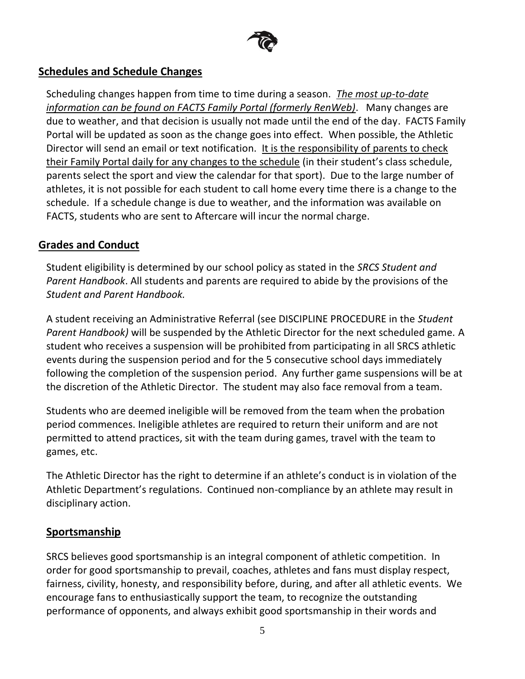

# **Schedules and Schedule Changes**

Scheduling changes happen from time to time during a season. *The most up-to-date information can be found on FACTS Family Portal (formerly RenWeb)*. Many changes are due to weather, and that decision is usually not made until the end of the day. FACTS Family Portal will be updated as soon as the change goes into effect. When possible, the Athletic Director will send an email or text notification. It is the responsibility of parents to check their Family Portal daily for any changes to the schedule (in their student's class schedule, parents select the sport and view the calendar for that sport). Due to the large number of athletes, it is not possible for each student to call home every time there is a change to the schedule. If a schedule change is due to weather, and the information was available on FACTS, students who are sent to Aftercare will incur the normal charge.

## **Grades and Conduct**

Student eligibility is determined by our school policy as stated in the *SRCS Student and Parent Handbook*. All students and parents are required to abide by the provisions of the *Student and Parent Handbook.*

A student receiving an Administrative Referral (see DISCIPLINE PROCEDURE in the *Student Parent Handbook)* will be suspended by the Athletic Director for the next scheduled game. A student who receives a suspension will be prohibited from participating in all SRCS athletic events during the suspension period and for the 5 consecutive school days immediately following the completion of the suspension period. Any further game suspensions will be at the discretion of the Athletic Director. The student may also face removal from a team.

Students who are deemed ineligible will be removed from the team when the probation period commences. Ineligible athletes are required to return their uniform and are not permitted to attend practices, sit with the team during games, travel with the team to games, etc.

The Athletic Director has the right to determine if an athlete's conduct is in violation of the Athletic Department's regulations. Continued non-compliance by an athlete may result in disciplinary action.

# **Sportsmanship**

SRCS believes good sportsmanship is an integral component of athletic competition. In order for good sportsmanship to prevail, coaches, athletes and fans must display respect, fairness, civility, honesty, and responsibility before, during, and after all athletic events. We encourage fans to enthusiastically support the team, to recognize the outstanding performance of opponents, and always exhibit good sportsmanship in their words and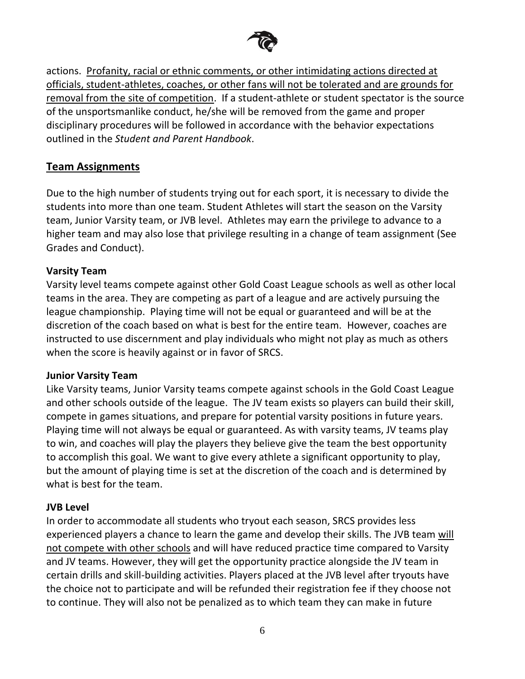

actions. Profanity, racial or ethnic comments, or other intimidating actions directed at officials, student-athletes, coaches, or other fans will not be tolerated and are grounds for removal from the site of competition. If a student-athlete or student spectator is the source of the unsportsmanlike conduct, he/she will be removed from the game and proper disciplinary procedures will be followed in accordance with the behavior expectations outlined in the *Student and Parent Handbook*.

## **Team Assignments**

Due to the high number of students trying out for each sport, it is necessary to divide the students into more than one team. Student Athletes will start the season on the Varsity team, Junior Varsity team, or JVB level. Athletes may earn the privilege to advance to a higher team and may also lose that privilege resulting in a change of team assignment (See Grades and Conduct).

### **Varsity Team**

Varsity level teams compete against other Gold Coast League schools as well as other local teams in the area. They are competing as part of a league and are actively pursuing the league championship. Playing time will not be equal or guaranteed and will be at the discretion of the coach based on what is best for the entire team. However, coaches are instructed to use discernment and play individuals who might not play as much as others when the score is heavily against or in favor of SRCS.

#### **Junior Varsity Team**

Like Varsity teams, Junior Varsity teams compete against schools in the Gold Coast League and other schools outside of the league. The JV team exists so players can build their skill, compete in games situations, and prepare for potential varsity positions in future years. Playing time will not always be equal or guaranteed. As with varsity teams, JV teams play to win, and coaches will play the players they believe give the team the best opportunity to accomplish this goal. We want to give every athlete a significant opportunity to play, but the amount of playing time is set at the discretion of the coach and is determined by what is best for the team.

### **JVB Level**

In order to accommodate all students who tryout each season, SRCS provides less experienced players a chance to learn the game and develop their skills. The JVB team will not compete with other schools and will have reduced practice time compared to Varsity and JV teams. However, they will get the opportunity practice alongside the JV team in certain drills and skill-building activities. Players placed at the JVB level after tryouts have the choice not to participate and will be refunded their registration fee if they choose not to continue. They will also not be penalized as to which team they can make in future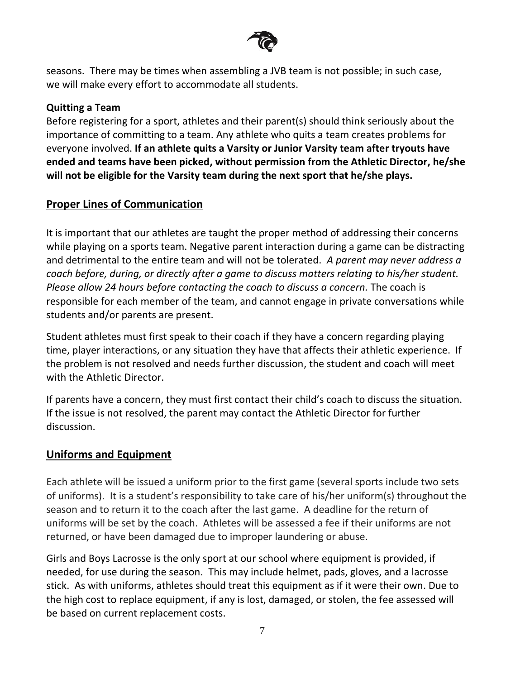

seasons. There may be times when assembling a JVB team is not possible; in such case, we will make every effort to accommodate all students.

#### **Quitting a Team**

Before registering for a sport, athletes and their parent(s) should think seriously about the importance of committing to a team. Any athlete who quits a team creates problems for everyone involved. **If an athlete quits a Varsity or Junior Varsity team after tryouts have ended and teams have been picked, without permission from the Athletic Director, he/she will not be eligible for the Varsity team during the next sport that he/she plays.**

## **Proper Lines of Communication**

It is important that our athletes are taught the proper method of addressing their concerns while playing on a sports team. Negative parent interaction during a game can be distracting and detrimental to the entire team and will not be tolerated. *A parent may never address a coach before, during, or directly after a game to discuss matters relating to his/her student. Please allow 24 hours before contacting the coach to discuss a concern.* The coach is responsible for each member of the team, and cannot engage in private conversations while students and/or parents are present.

Student athletes must first speak to their coach if they have a concern regarding playing time, player interactions, or any situation they have that affects their athletic experience. If the problem is not resolved and needs further discussion, the student and coach will meet with the Athletic Director.

If parents have a concern, they must first contact their child's coach to discuss the situation. If the issue is not resolved, the parent may contact the Athletic Director for further discussion.

### **Uniforms and Equipment**

Each athlete will be issued a uniform prior to the first game (several sports include two sets of uniforms). It is a student's responsibility to take care of his/her uniform(s) throughout the season and to return it to the coach after the last game. A deadline for the return of uniforms will be set by the coach. Athletes will be assessed a fee if their uniforms are not returned, or have been damaged due to improper laundering or abuse.

Girls and Boys Lacrosse is the only sport at our school where equipment is provided, if needed, for use during the season. This may include helmet, pads, gloves, and a lacrosse stick. As with uniforms, athletes should treat this equipment as if it were their own. Due to the high cost to replace equipment, if any is lost, damaged, or stolen, the fee assessed will be based on current replacement costs.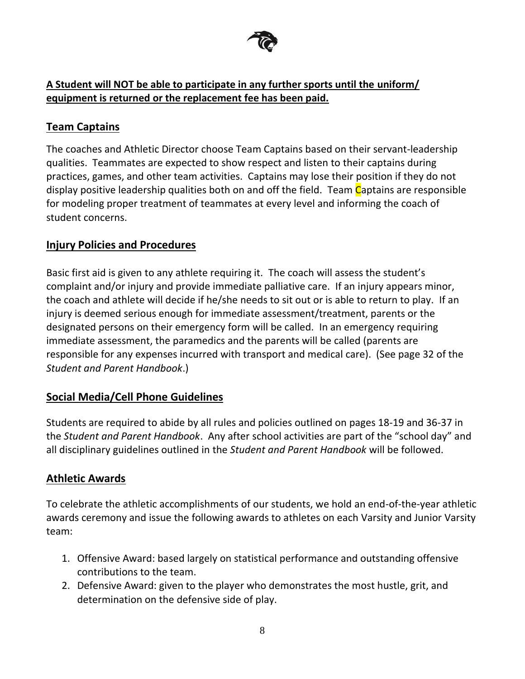

# **A Student will NOT be able to participate in any further sports until the uniform/ equipment is returned or the replacement fee has been paid.**

# **Team Captains**

The coaches and Athletic Director choose Team Captains based on their servant-leadership qualities. Teammates are expected to show respect and listen to their captains during practices, games, and other team activities. Captains may lose their position if they do not display positive leadership qualities both on and off the field. Team Captains are responsible for modeling proper treatment of teammates at every level and informing the coach of student concerns.

# **Injury Policies and Procedures**

Basic first aid is given to any athlete requiring it. The coach will assess the student's complaint and/or injury and provide immediate palliative care. If an injury appears minor, the coach and athlete will decide if he/she needs to sit out or is able to return to play. If an injury is deemed serious enough for immediate assessment/treatment, parents or the designated persons on their emergency form will be called. In an emergency requiring immediate assessment, the paramedics and the parents will be called (parents are responsible for any expenses incurred with transport and medical care). (See page 32 of the *Student and Parent Handbook*.)

# **Social Media/Cell Phone Guidelines**

Students are required to abide by all rules and policies outlined on pages 18-19 and 36-37 in the *Student and Parent Handbook*. Any after school activities are part of the "school day" and all disciplinary guidelines outlined in the *Student and Parent Handbook* will be followed.

# **Athletic Awards**

To celebrate the athletic accomplishments of our students, we hold an end-of-the-year athletic awards ceremony and issue the following awards to athletes on each Varsity and Junior Varsity team:

- 1. Offensive Award: based largely on statistical performance and outstanding offensive contributions to the team.
- 2. Defensive Award: given to the player who demonstrates the most hustle, grit, and determination on the defensive side of play.